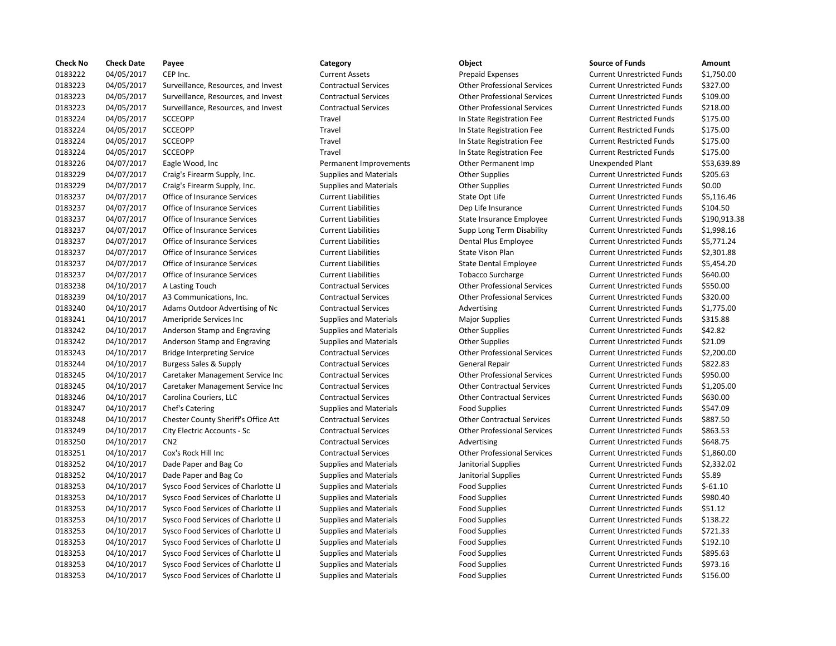| <b>Check No</b> | <b>Check Date</b> | Payee                               | Category                      | Object                             | <b>Source of Funds</b>            | Amount    |
|-----------------|-------------------|-------------------------------------|-------------------------------|------------------------------------|-----------------------------------|-----------|
| 0183222         | 04/05/2017        | CEP Inc.                            | <b>Current Assets</b>         | <b>Prepaid Expenses</b>            | <b>Current Unrestricted Funds</b> | \$1,750.0 |
| 0183223         | 04/05/2017        | Surveillance, Resources, and Invest | <b>Contractual Services</b>   | <b>Other Professional Services</b> | <b>Current Unrestricted Funds</b> | \$327.00  |
| 0183223         | 04/05/2017        | Surveillance, Resources, and Invest | <b>Contractual Services</b>   | <b>Other Professional Services</b> | <b>Current Unrestricted Funds</b> | \$109.00  |
| 0183223         | 04/05/2017        | Surveillance, Resources, and Invest | <b>Contractual Services</b>   | <b>Other Professional Services</b> | <b>Current Unrestricted Funds</b> | \$218.00  |
| 0183224         | 04/05/2017        | <b>SCCEOPP</b>                      | Travel                        | In State Registration Fee          | <b>Current Restricted Funds</b>   | \$175.00  |
| 0183224         | 04/05/2017        | <b>SCCEOPP</b>                      | Travel                        | In State Registration Fee          | <b>Current Restricted Funds</b>   | \$175.00  |
| 0183224         | 04/05/2017        | <b>SCCEOPP</b>                      | Travel                        | In State Registration Fee          | <b>Current Restricted Funds</b>   | \$175.00  |
| 0183224         | 04/05/2017        | <b>SCCEOPP</b>                      | Travel                        | In State Registration Fee          | <b>Current Restricted Funds</b>   | \$175.00  |
| 0183226         | 04/07/2017        | Eagle Wood, Inc.                    | Permanent Improvements        | Other Permanent Imp                | <b>Unexpended Plant</b>           | \$53,639  |
| 0183229         | 04/07/2017        | Craig's Firearm Supply, Inc.        | Supplies and Materials        | <b>Other Supplies</b>              | <b>Current Unrestricted Funds</b> | \$205.63  |
| 0183229         | 04/07/2017        | Craig's Firearm Supply, Inc.        | <b>Supplies and Materials</b> | <b>Other Supplies</b>              | <b>Current Unrestricted Funds</b> | \$0.00    |
| 0183237         | 04/07/2017        | Office of Insurance Services        | <b>Current Liabilities</b>    | State Opt Life                     | <b>Current Unrestricted Funds</b> | \$5,116.4 |
| 0183237         | 04/07/2017        | Office of Insurance Services        | <b>Current Liabilities</b>    | Dep Life Insurance                 | <b>Current Unrestricted Funds</b> | \$104.50  |
| 0183237         | 04/07/2017        | Office of Insurance Services        | <b>Current Liabilities</b>    | State Insurance Employee           | <b>Current Unrestricted Funds</b> | \$190,91  |
| 0183237         | 04/07/2017        | Office of Insurance Services        | <b>Current Liabilities</b>    | Supp Long Term Disability          | <b>Current Unrestricted Funds</b> | \$1,998.1 |
| 0183237         | 04/07/2017        | Office of Insurance Services        | <b>Current Liabilities</b>    | Dental Plus Employee               | <b>Current Unrestricted Funds</b> | \$5,771.2 |
| 0183237         | 04/07/2017        | Office of Insurance Services        | <b>Current Liabilities</b>    | State Vison Plan                   | <b>Current Unrestricted Funds</b> | \$2,301.8 |
| 0183237         | 04/07/2017        | Office of Insurance Services        | <b>Current Liabilities</b>    | <b>State Dental Employee</b>       | <b>Current Unrestricted Funds</b> | \$5,454.2 |
| 0183237         | 04/07/2017        | Office of Insurance Services        | <b>Current Liabilities</b>    | <b>Tobacco Surcharge</b>           | <b>Current Unrestricted Funds</b> | \$640.00  |
| 0183238         | 04/10/2017        | A Lasting Touch                     | <b>Contractual Services</b>   | <b>Other Professional Services</b> | <b>Current Unrestricted Funds</b> | \$550.00  |
| 0183239         | 04/10/2017        | A3 Communications, Inc.             | <b>Contractual Services</b>   | <b>Other Professional Services</b> | <b>Current Unrestricted Funds</b> | \$320.00  |
| 0183240         | 04/10/2017        | Adams Outdoor Advertising of Nc     | <b>Contractual Services</b>   | Advertising                        | <b>Current Unrestricted Funds</b> | \$1,775.0 |
| 0183241         | 04/10/2017        | Ameripride Services Inc             | <b>Supplies and Materials</b> | Major Supplies                     | <b>Current Unrestricted Funds</b> | \$315.88  |
| 0183242         | 04/10/2017        | Anderson Stamp and Engraving        | <b>Supplies and Materials</b> | <b>Other Supplies</b>              | <b>Current Unrestricted Funds</b> | \$42.82   |
| 0183242         | 04/10/2017        | Anderson Stamp and Engraving        | Supplies and Materials        | <b>Other Supplies</b>              | <b>Current Unrestricted Funds</b> | \$21.09   |
| 0183243         | 04/10/2017        | <b>Bridge Interpreting Service</b>  | <b>Contractual Services</b>   | <b>Other Professional Services</b> | <b>Current Unrestricted Funds</b> | \$2,200.0 |
| 0183244         | 04/10/2017        | <b>Burgess Sales &amp; Supply</b>   | <b>Contractual Services</b>   | <b>General Repair</b>              | <b>Current Unrestricted Funds</b> | \$822.83  |
| 0183245         | 04/10/2017        | Caretaker Management Service Inc    | <b>Contractual Services</b>   | <b>Other Professional Services</b> | <b>Current Unrestricted Funds</b> | \$950.00  |
| 0183245         | 04/10/2017        | Caretaker Management Service Inc    | <b>Contractual Services</b>   | <b>Other Contractual Services</b>  | <b>Current Unrestricted Funds</b> | \$1,205.0 |
| 0183246         | 04/10/2017        | Carolina Couriers, LLC              | <b>Contractual Services</b>   | <b>Other Contractual Services</b>  | <b>Current Unrestricted Funds</b> | \$630.00  |
| 0183247         | 04/10/2017        | Chef's Catering                     | <b>Supplies and Materials</b> | <b>Food Supplies</b>               | <b>Current Unrestricted Funds</b> | \$547.09  |
| 0183248         | 04/10/2017        | Chester County Sheriff's Office Att | <b>Contractual Services</b>   | <b>Other Contractual Services</b>  | <b>Current Unrestricted Funds</b> | \$887.50  |
| 0183249         | 04/10/2017        | City Electric Accounts - Sc         | <b>Contractual Services</b>   | <b>Other Professional Services</b> | <b>Current Unrestricted Funds</b> | \$863.53  |
| 0183250         | 04/10/2017        | CN <sub>2</sub>                     | <b>Contractual Services</b>   | Advertising                        | <b>Current Unrestricted Funds</b> | \$648.75  |
| 0183251         | 04/10/2017        | Cox's Rock Hill Inc                 | <b>Contractual Services</b>   | <b>Other Professional Services</b> | <b>Current Unrestricted Funds</b> | \$1,860.0 |
| 0183252         | 04/10/2017        | Dade Paper and Bag Co               | Supplies and Materials        | Janitorial Supplies                | <b>Current Unrestricted Funds</b> | \$2,332.0 |
| 0183252         | 04/10/2017        | Dade Paper and Bag Co               | Supplies and Materials        | Janitorial Supplies                | <b>Current Unrestricted Funds</b> | \$5.89    |
| 0183253         | 04/10/2017        | Sysco Food Services of Charlotte Ll | <b>Supplies and Materials</b> | <b>Food Supplies</b>               | <b>Current Unrestricted Funds</b> | $$-61.10$ |
| 0183253         | 04/10/2017        | Sysco Food Services of Charlotte Ll | <b>Supplies and Materials</b> | <b>Food Supplies</b>               | <b>Current Unrestricted Funds</b> | \$980.40  |
| 0183253         | 04/10/2017        | Sysco Food Services of Charlotte Ll | Supplies and Materials        | <b>Food Supplies</b>               | <b>Current Unrestricted Funds</b> | \$51.12   |
| 0183253         | 04/10/2017        | Sysco Food Services of Charlotte Ll | <b>Supplies and Materials</b> | <b>Food Supplies</b>               | <b>Current Unrestricted Funds</b> | \$138.22  |
| 0183253         | 04/10/2017        | Sysco Food Services of Charlotte Ll | <b>Supplies and Materials</b> | <b>Food Supplies</b>               | <b>Current Unrestricted Funds</b> | \$721.33  |
| 0183253         | 04/10/2017        | Sysco Food Services of Charlotte Ll | Supplies and Materials        | <b>Food Supplies</b>               | <b>Current Unrestricted Funds</b> | \$192.10  |
| 0183253         | 04/10/2017        | Sysco Food Services of Charlotte Ll | <b>Supplies and Materials</b> | <b>Food Supplies</b>               | <b>Current Unrestricted Funds</b> | \$895.63  |
| 0183253         | 04/10/2017        | Sysco Food Services of Charlotte Ll | <b>Supplies and Materials</b> | <b>Food Supplies</b>               | <b>Current Unrestricted Funds</b> | \$973.16  |
| 0183253         | 04/10/2017        | Sysco Food Services of Charlotte Ll | <b>Supplies and Materials</b> | <b>Food Supplies</b>               | <b>Current Unrestricted Funds</b> | \$156.00  |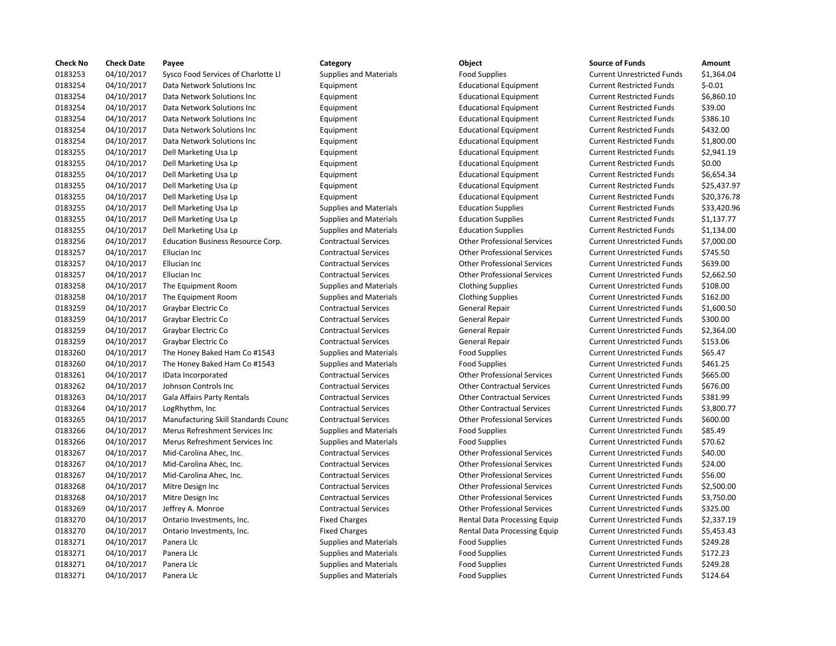| <b>Check No</b> | <b>Check Date</b> | Payee                                    | Category                      | Object                             | <b>Source of Funds</b>            | Amount     |
|-----------------|-------------------|------------------------------------------|-------------------------------|------------------------------------|-----------------------------------|------------|
| 0183253         | 04/10/2017        | Sysco Food Services of Charlotte LI      | <b>Supplies and Materials</b> | <b>Food Supplies</b>               | <b>Current Unrestricted Funds</b> | \$1,364.04 |
| 0183254         | 04/10/2017        | Data Network Solutions Inc               | Equipment                     | <b>Educational Equipment</b>       | <b>Current Restricted Funds</b>   | $$-0.01$   |
| 0183254         | 04/10/2017        | Data Network Solutions Inc               | Equipment                     | <b>Educational Equipment</b>       | <b>Current Restricted Funds</b>   | \$6,860.10 |
| 0183254         | 04/10/2017        | Data Network Solutions Inc               | Equipment                     | <b>Educational Equipment</b>       | <b>Current Restricted Funds</b>   | \$39.00    |
| 0183254         | 04/10/2017        | Data Network Solutions Inc               | Equipment                     | <b>Educational Equipment</b>       | <b>Current Restricted Funds</b>   | \$386.10   |
| 0183254         | 04/10/2017        | Data Network Solutions Inc               | Equipment                     | <b>Educational Equipment</b>       | <b>Current Restricted Funds</b>   | \$432.00   |
| 0183254         | 04/10/2017        | Data Network Solutions Inc               | Equipment                     | <b>Educational Equipment</b>       | <b>Current Restricted Funds</b>   | \$1,800.00 |
| 0183255         | 04/10/2017        | Dell Marketing Usa Lp                    | Equipment                     | <b>Educational Equipment</b>       | <b>Current Restricted Funds</b>   | \$2,941.19 |
| 0183255         | 04/10/2017        | Dell Marketing Usa Lp                    | Equipment                     | <b>Educational Equipment</b>       | <b>Current Restricted Funds</b>   | \$0.00     |
| 0183255         | 04/10/2017        | Dell Marketing Usa Lp                    | Equipment                     | <b>Educational Equipment</b>       | <b>Current Restricted Funds</b>   | \$6,654.34 |
| 0183255         | 04/10/2017        | Dell Marketing Usa Lp                    | Equipment                     | <b>Educational Equipment</b>       | <b>Current Restricted Funds</b>   | \$25,437.9 |
| 0183255         | 04/10/2017        | Dell Marketing Usa Lp                    | Equipment                     | <b>Educational Equipment</b>       | <b>Current Restricted Funds</b>   | \$20,376.7 |
| 0183255         | 04/10/2017        | Dell Marketing Usa Lp                    | <b>Supplies and Materials</b> | <b>Education Supplies</b>          | <b>Current Restricted Funds</b>   | \$33,420.9 |
| 0183255         | 04/10/2017        | Dell Marketing Usa Lp                    | <b>Supplies and Materials</b> | <b>Education Supplies</b>          | <b>Current Restricted Funds</b>   | \$1,137.77 |
| 0183255         | 04/10/2017        | Dell Marketing Usa Lp                    | <b>Supplies and Materials</b> | <b>Education Supplies</b>          | <b>Current Restricted Funds</b>   | \$1,134.00 |
| 0183256         | 04/10/2017        | <b>Education Business Resource Corp.</b> | <b>Contractual Services</b>   | <b>Other Professional Services</b> | <b>Current Unrestricted Funds</b> | \$7,000.00 |
| 0183257         | 04/10/2017        | Ellucian Inc                             | <b>Contractual Services</b>   | <b>Other Professional Services</b> | <b>Current Unrestricted Funds</b> | \$745.50   |
| 0183257         | 04/10/2017        | Ellucian Inc                             | <b>Contractual Services</b>   | <b>Other Professional Services</b> | <b>Current Unrestricted Funds</b> | \$639.00   |
| 0183257         | 04/10/2017        | Ellucian Inc                             | <b>Contractual Services</b>   | <b>Other Professional Services</b> | <b>Current Unrestricted Funds</b> | \$2,662.50 |
| 0183258         | 04/10/2017        | The Equipment Room                       | <b>Supplies and Materials</b> | <b>Clothing Supplies</b>           | <b>Current Unrestricted Funds</b> | \$108.00   |
| 0183258         | 04/10/2017        | The Equipment Room                       | <b>Supplies and Materials</b> | <b>Clothing Supplies</b>           | <b>Current Unrestricted Funds</b> | \$162.00   |
| 0183259         | 04/10/2017        | Graybar Electric Co                      | <b>Contractual Services</b>   | General Repair                     | <b>Current Unrestricted Funds</b> | \$1,600.50 |
| 0183259         | 04/10/2017        | Graybar Electric Co                      | <b>Contractual Services</b>   | <b>General Repair</b>              | <b>Current Unrestricted Funds</b> | \$300.00   |
| 0183259         | 04/10/2017        | Graybar Electric Co                      | <b>Contractual Services</b>   | General Repair                     | <b>Current Unrestricted Funds</b> | \$2,364.00 |
| 0183259         | 04/10/2017        | Graybar Electric Co                      | <b>Contractual Services</b>   | General Repair                     | <b>Current Unrestricted Funds</b> | \$153.06   |
| 0183260         | 04/10/2017        | The Honey Baked Ham Co #1543             | <b>Supplies and Materials</b> | <b>Food Supplies</b>               | <b>Current Unrestricted Funds</b> | \$65.47    |
| 0183260         | 04/10/2017        | The Honey Baked Ham Co #1543             | <b>Supplies and Materials</b> | <b>Food Supplies</b>               | <b>Current Unrestricted Funds</b> | \$461.25   |
| 0183261         | 04/10/2017        | IData Incorporated                       | <b>Contractual Services</b>   | <b>Other Professional Services</b> | <b>Current Unrestricted Funds</b> | \$665.00   |
| 0183262         | 04/10/2017        | Johnson Controls Inc                     | <b>Contractual Services</b>   | <b>Other Contractual Services</b>  | <b>Current Unrestricted Funds</b> | \$676.00   |
| 0183263         | 04/10/2017        | Gala Affairs Party Rentals               | <b>Contractual Services</b>   | <b>Other Contractual Services</b>  | <b>Current Unrestricted Funds</b> | \$381.99   |
| 0183264         | 04/10/2017        | LogRhythm, Inc                           | <b>Contractual Services</b>   | <b>Other Contractual Services</b>  | <b>Current Unrestricted Funds</b> | \$3,800.77 |
| 0183265         | 04/10/2017        | Manufacturing Skill Standards Counc      | <b>Contractual Services</b>   | <b>Other Professional Services</b> | <b>Current Unrestricted Funds</b> | \$600.00   |
| 0183266         | 04/10/2017        | Merus Refreshment Services Inc           | <b>Supplies and Materials</b> | <b>Food Supplies</b>               | <b>Current Unrestricted Funds</b> | \$85.49    |
| 0183266         | 04/10/2017        | Merus Refreshment Services Inc           | <b>Supplies and Materials</b> | <b>Food Supplies</b>               | <b>Current Unrestricted Funds</b> | \$70.62    |
| 0183267         | 04/10/2017        | Mid-Carolina Ahec, Inc.                  | <b>Contractual Services</b>   | <b>Other Professional Services</b> | <b>Current Unrestricted Funds</b> | \$40.00    |
| 0183267         | 04/10/2017        | Mid-Carolina Ahec, Inc.                  | <b>Contractual Services</b>   | <b>Other Professional Services</b> | <b>Current Unrestricted Funds</b> | \$24.00    |
| 0183267         | 04/10/2017        | Mid-Carolina Ahec, Inc.                  | <b>Contractual Services</b>   | <b>Other Professional Services</b> | <b>Current Unrestricted Funds</b> | \$56.00    |
| 0183268         | 04/10/2017        | Mitre Design Inc                         | <b>Contractual Services</b>   | <b>Other Professional Services</b> | <b>Current Unrestricted Funds</b> | \$2,500.00 |
| 0183268         | 04/10/2017        | Mitre Design Inc                         | <b>Contractual Services</b>   | <b>Other Professional Services</b> | <b>Current Unrestricted Funds</b> | \$3,750.00 |
| 0183269         | 04/10/2017        | Jeffrey A. Monroe                        | <b>Contractual Services</b>   | <b>Other Professional Services</b> | <b>Current Unrestricted Funds</b> | \$325.00   |
| 0183270         | 04/10/2017        | Ontario Investments, Inc.                | <b>Fixed Charges</b>          | Rental Data Processing Equip       | <b>Current Unrestricted Funds</b> | \$2,337.19 |
| 0183270         | 04/10/2017        | Ontario Investments, Inc.                | <b>Fixed Charges</b>          | Rental Data Processing Equip       | <b>Current Unrestricted Funds</b> | \$5,453.43 |
| 0183271         | 04/10/2017        | Panera Llc                               | <b>Supplies and Materials</b> | <b>Food Supplies</b>               | <b>Current Unrestricted Funds</b> | \$249.28   |
| 0183271         | 04/10/2017        | Panera Llc                               | <b>Supplies and Materials</b> | <b>Food Supplies</b>               | <b>Current Unrestricted Funds</b> | \$172.23   |
| 0183271         | 04/10/2017        | Panera Llc                               | <b>Supplies and Materials</b> | <b>Food Supplies</b>               | <b>Current Unrestricted Funds</b> | \$249.28   |
| 0183271         | 04/10/2017        | Panera Llc                               | <b>Supplies and Materials</b> | <b>Food Supplies</b>               | <b>Current Unrestricted Funds</b> | \$124.64   |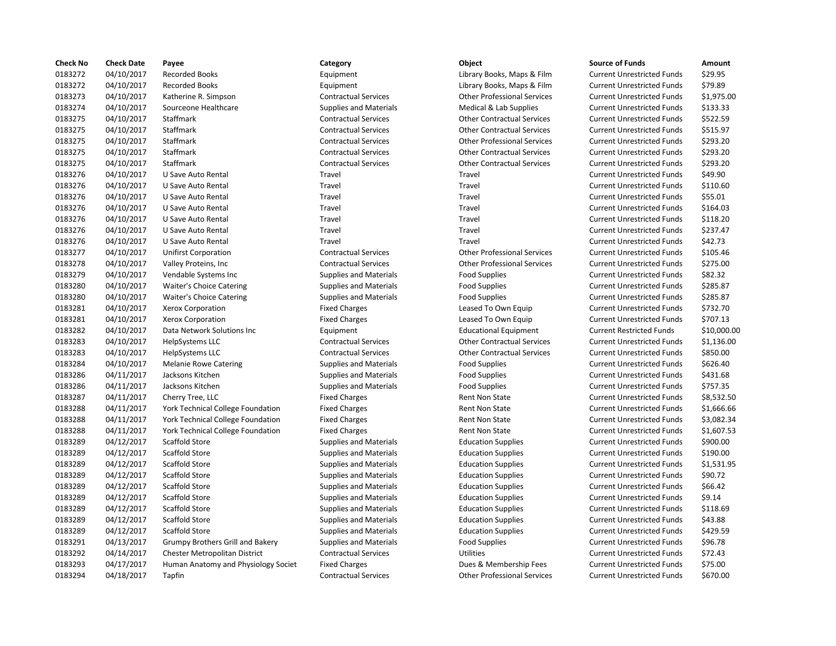| <b>Check No</b> | <b>Check Date</b> | Payee                                | Category                      | Object                             | <b>Source of Funds</b>            | Amount    |
|-----------------|-------------------|--------------------------------------|-------------------------------|------------------------------------|-----------------------------------|-----------|
| 0183272         | 04/10/2017        | <b>Recorded Books</b>                | Equipment                     | Library Books, Maps & Film         | <b>Current Unrestricted Funds</b> | \$29.95   |
| 0183272         | 04/10/2017        | <b>Recorded Books</b>                | Equipment                     | Library Books, Maps & Film         | <b>Current Unrestricted Funds</b> | \$79.89   |
| 0183273         | 04/10/2017        | Katherine R. Simpson                 | <b>Contractual Services</b>   | <b>Other Professional Services</b> | <b>Current Unrestricted Funds</b> | \$1,975.0 |
| 0183274         | 04/10/2017        | Sourceone Healthcare                 | <b>Supplies and Materials</b> | Medical & Lab Supplies             | <b>Current Unrestricted Funds</b> | \$133.33  |
| 0183275         | 04/10/2017        | Staffmark                            | <b>Contractual Services</b>   | <b>Other Contractual Services</b>  | <b>Current Unrestricted Funds</b> | \$522.59  |
| 0183275         | 04/10/2017        | Staffmark                            | <b>Contractual Services</b>   | <b>Other Contractual Services</b>  | <b>Current Unrestricted Funds</b> | \$515.97  |
| 0183275         | 04/10/2017        | Staffmark                            | <b>Contractual Services</b>   | <b>Other Professional Services</b> | <b>Current Unrestricted Funds</b> | \$293.20  |
| 0183275         | 04/10/2017        | Staffmark                            | <b>Contractual Services</b>   | <b>Other Contractual Services</b>  | <b>Current Unrestricted Funds</b> | \$293.20  |
| 0183275         | 04/10/2017        | Staffmark                            | <b>Contractual Services</b>   | <b>Other Contractual Services</b>  | <b>Current Unrestricted Funds</b> | \$293.20  |
| 0183276         | 04/10/2017        | U Save Auto Rental                   | Travel                        | Travel                             | <b>Current Unrestricted Funds</b> | \$49.90   |
| 0183276         | 04/10/2017        | U Save Auto Rental                   | Travel                        | Travel                             | <b>Current Unrestricted Funds</b> | \$110.60  |
| 0183276         | 04/10/2017        | U Save Auto Rental                   | Travel                        | Travel                             | <b>Current Unrestricted Funds</b> | \$55.01   |
| 0183276         | 04/10/2017        | U Save Auto Rental                   | Travel                        | Travel                             | <b>Current Unrestricted Funds</b> | \$164.03  |
| 0183276         | 04/10/2017        | U Save Auto Rental                   | Travel                        | Travel                             | <b>Current Unrestricted Funds</b> | \$118.20  |
| 0183276         | 04/10/2017        | U Save Auto Rental                   | Travel                        | Travel                             | <b>Current Unrestricted Funds</b> | \$237.47  |
| 0183276         | 04/10/2017        | U Save Auto Rental                   | Travel                        | Travel                             | <b>Current Unrestricted Funds</b> | \$42.73   |
| 0183277         | 04/10/2017        | <b>Unifirst Corporation</b>          | <b>Contractual Services</b>   | <b>Other Professional Services</b> | <b>Current Unrestricted Funds</b> | \$105.46  |
| 0183278         | 04/10/2017        | Valley Proteins, Inc.                | <b>Contractual Services</b>   | <b>Other Professional Services</b> | <b>Current Unrestricted Funds</b> | \$275.00  |
| 0183279         | 04/10/2017        | Vendable Systems Inc                 | <b>Supplies and Materials</b> | <b>Food Supplies</b>               | <b>Current Unrestricted Funds</b> | \$82.32   |
| 0183280         | 04/10/2017        | Waiter's Choice Catering             | <b>Supplies and Materials</b> | <b>Food Supplies</b>               | <b>Current Unrestricted Funds</b> | \$285.87  |
| 0183280         | 04/10/2017        | <b>Waiter's Choice Catering</b>      | <b>Supplies and Materials</b> | <b>Food Supplies</b>               | <b>Current Unrestricted Funds</b> | \$285.87  |
| 0183281         | 04/10/2017        | Xerox Corporation                    | <b>Fixed Charges</b>          | Leased To Own Equip                | <b>Current Unrestricted Funds</b> | \$732.70  |
| 0183281         | 04/10/2017        | Xerox Corporation                    | <b>Fixed Charges</b>          | Leased To Own Equip                | <b>Current Unrestricted Funds</b> | \$707.13  |
| 0183282         | 04/10/2017        | Data Network Solutions Inc           | Equipment                     | <b>Educational Equipment</b>       | <b>Current Restricted Funds</b>   | \$10,000  |
| 0183283         | 04/10/2017        | HelpSystems LLC                      | <b>Contractual Services</b>   | <b>Other Contractual Services</b>  | <b>Current Unrestricted Funds</b> | \$1,136.0 |
| 0183283         | 04/10/2017        | HelpSystems LLC                      | <b>Contractual Services</b>   | <b>Other Contractual Services</b>  | <b>Current Unrestricted Funds</b> | \$850.00  |
| 0183284         | 04/10/2017        | <b>Melanie Rowe Catering</b>         | <b>Supplies and Materials</b> | <b>Food Supplies</b>               | <b>Current Unrestricted Funds</b> | \$626.40  |
| 0183286         | 04/11/2017        | Jacksons Kitchen                     | <b>Supplies and Materials</b> | <b>Food Supplies</b>               | <b>Current Unrestricted Funds</b> | \$431.68  |
| 0183286         | 04/11/2017        | Jacksons Kitchen                     | <b>Supplies and Materials</b> | <b>Food Supplies</b>               | <b>Current Unrestricted Funds</b> | \$757.35  |
| 0183287         | 04/11/2017        | Cherry Tree, LLC                     | <b>Fixed Charges</b>          | Rent Non State                     | <b>Current Unrestricted Funds</b> | \$8,532.5 |
| 0183288         | 04/11/2017        | York Technical College Foundation    | <b>Fixed Charges</b>          | Rent Non State                     | <b>Current Unrestricted Funds</b> | \$1,666.6 |
| 0183288         | 04/11/2017        | York Technical College Foundation    | <b>Fixed Charges</b>          | Rent Non State                     | <b>Current Unrestricted Funds</b> | \$3,082.3 |
| 0183288         | 04/11/2017        | York Technical College Foundation    | <b>Fixed Charges</b>          | Rent Non State                     | <b>Current Unrestricted Funds</b> | \$1,607.5 |
| 0183289         | 04/12/2017        | <b>Scaffold Store</b>                | <b>Supplies and Materials</b> | <b>Education Supplies</b>          | <b>Current Unrestricted Funds</b> | \$900.00  |
| 0183289         | 04/12/2017        | <b>Scaffold Store</b>                | Supplies and Materials        | <b>Education Supplies</b>          | <b>Current Unrestricted Funds</b> | \$190.00  |
| 0183289         | 04/12/2017        | Scaffold Store                       | <b>Supplies and Materials</b> | <b>Education Supplies</b>          | <b>Current Unrestricted Funds</b> | \$1,531.9 |
| 0183289         | 04/12/2017        | <b>Scaffold Store</b>                | <b>Supplies and Materials</b> | <b>Education Supplies</b>          | <b>Current Unrestricted Funds</b> | \$90.72   |
| 0183289         | 04/12/2017        | <b>Scaffold Store</b>                | <b>Supplies and Materials</b> | <b>Education Supplies</b>          | <b>Current Unrestricted Funds</b> | \$66.42   |
| 0183289         | 04/12/2017        | <b>Scaffold Store</b>                | Supplies and Materials        | <b>Education Supplies</b>          | <b>Current Unrestricted Funds</b> | \$9.14    |
| 0183289         | 04/12/2017        | <b>Scaffold Store</b>                | <b>Supplies and Materials</b> | <b>Education Supplies</b>          | <b>Current Unrestricted Funds</b> | \$118.69  |
| 0183289         | 04/12/2017        | Scaffold Store                       | Supplies and Materials        | <b>Education Supplies</b>          | <b>Current Unrestricted Funds</b> | \$43.88   |
| 0183289         | 04/12/2017        | <b>Scaffold Store</b>                | <b>Supplies and Materials</b> | <b>Education Supplies</b>          | <b>Current Unrestricted Funds</b> | \$429.59  |
| 0183291         | 04/13/2017        | Grumpy Brothers Grill and Bakery     | Supplies and Materials        | <b>Food Supplies</b>               | <b>Current Unrestricted Funds</b> | \$96.78   |
| 0183292         | 04/14/2017        | <b>Chester Metropolitan District</b> | <b>Contractual Services</b>   | <b>Utilities</b>                   | <b>Current Unrestricted Funds</b> | \$72.43   |
| 0183293         | 04/17/2017        | Human Anatomy and Physiology Societ  | <b>Fixed Charges</b>          | Dues & Membership Fees             | <b>Current Unrestricted Funds</b> | \$75.00   |
| 0183294         | 04/18/2017        | Tapfin                               | <b>Contractual Services</b>   | <b>Other Professional Services</b> | <b>Current Unrestricted Funds</b> | \$670.00  |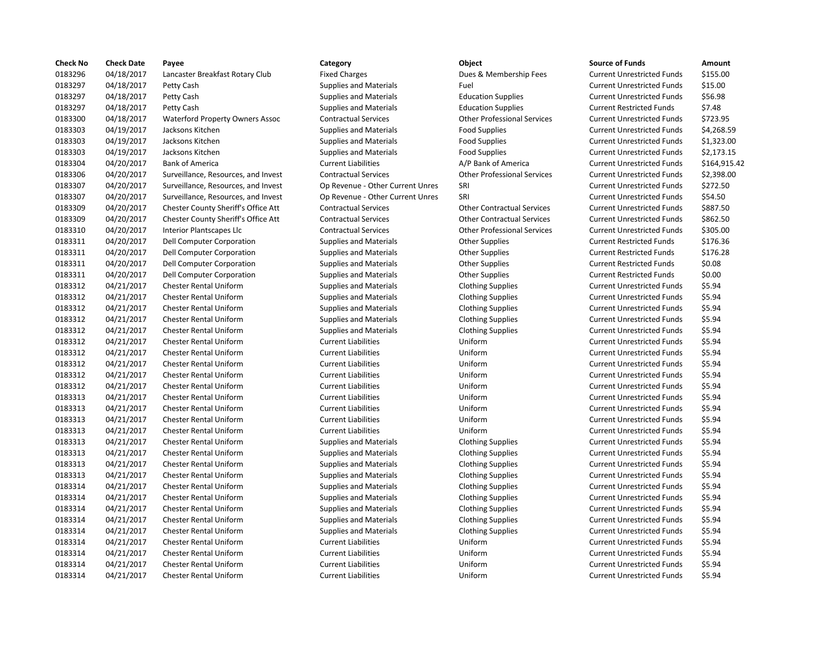| <b>Check No</b> | <b>Check Date</b> | Payee                                  | Category                         | Object                             | <b>Source of Funds</b>            | Amount    |
|-----------------|-------------------|----------------------------------------|----------------------------------|------------------------------------|-----------------------------------|-----------|
| 0183296         | 04/18/2017        | Lancaster Breakfast Rotary Club        | <b>Fixed Charges</b>             | Dues & Membership Fees             | <b>Current Unrestricted Funds</b> | \$155.00  |
| 0183297         | 04/18/2017        | Petty Cash                             | Supplies and Materials           | Fuel                               | <b>Current Unrestricted Funds</b> | \$15.00   |
| 0183297         | 04/18/2017        | Petty Cash                             | <b>Supplies and Materials</b>    | <b>Education Supplies</b>          | <b>Current Unrestricted Funds</b> | \$56.98   |
| 0183297         | 04/18/2017        | Petty Cash                             | <b>Supplies and Materials</b>    | <b>Education Supplies</b>          | <b>Current Restricted Funds</b>   | \$7.48    |
| 0183300         | 04/18/2017        | <b>Waterford Property Owners Assoc</b> | <b>Contractual Services</b>      | <b>Other Professional Services</b> | <b>Current Unrestricted Funds</b> | \$723.95  |
| 0183303         | 04/19/2017        | Jacksons Kitchen                       | <b>Supplies and Materials</b>    | <b>Food Supplies</b>               | <b>Current Unrestricted Funds</b> | \$4,268.5 |
| 0183303         | 04/19/2017        | Jacksons Kitchen                       | <b>Supplies and Materials</b>    | <b>Food Supplies</b>               | <b>Current Unrestricted Funds</b> | \$1,323.0 |
| 0183303         | 04/19/2017        | Jacksons Kitchen                       | <b>Supplies and Materials</b>    | <b>Food Supplies</b>               | <b>Current Unrestricted Funds</b> | \$2,173.1 |
| 0183304         | 04/20/2017        | <b>Bank of America</b>                 | <b>Current Liabilities</b>       | A/P Bank of America                | <b>Current Unrestricted Funds</b> | \$164,91  |
| 0183306         | 04/20/2017        | Surveillance, Resources, and Invest    | <b>Contractual Services</b>      | <b>Other Professional Services</b> | <b>Current Unrestricted Funds</b> | \$2,398.0 |
| 0183307         | 04/20/2017        | Surveillance, Resources, and Invest    | Op Revenue - Other Current Unres | SRI                                | <b>Current Unrestricted Funds</b> | \$272.50  |
| 0183307         | 04/20/2017        | Surveillance, Resources, and Invest    | Op Revenue - Other Current Unres | SRI                                | <b>Current Unrestricted Funds</b> | \$54.50   |
| 0183309         | 04/20/2017        | Chester County Sheriff's Office Att    | <b>Contractual Services</b>      | <b>Other Contractual Services</b>  | <b>Current Unrestricted Funds</b> | \$887.50  |
| 0183309         | 04/20/2017        | Chester County Sheriff's Office Att    | <b>Contractual Services</b>      | <b>Other Contractual Services</b>  | <b>Current Unrestricted Funds</b> | \$862.50  |
| 0183310         | 04/20/2017        | <b>Interior Plantscapes Llc</b>        | <b>Contractual Services</b>      | <b>Other Professional Services</b> | <b>Current Unrestricted Funds</b> | \$305.00  |
| 0183311         | 04/20/2017        | Dell Computer Corporation              | <b>Supplies and Materials</b>    | <b>Other Supplies</b>              | <b>Current Restricted Funds</b>   | \$176.36  |
| 0183311         | 04/20/2017        | Dell Computer Corporation              | <b>Supplies and Materials</b>    | <b>Other Supplies</b>              | <b>Current Restricted Funds</b>   | \$176.28  |
| 0183311         | 04/20/2017        | Dell Computer Corporation              | Supplies and Materials           | <b>Other Supplies</b>              | <b>Current Restricted Funds</b>   | \$0.08    |
| 0183311         | 04/20/2017        | Dell Computer Corporation              | Supplies and Materials           | <b>Other Supplies</b>              | <b>Current Restricted Funds</b>   | \$0.00    |
| 0183312         | 04/21/2017        | <b>Chester Rental Uniform</b>          | <b>Supplies and Materials</b>    | <b>Clothing Supplies</b>           | <b>Current Unrestricted Funds</b> | \$5.94    |
| 0183312         | 04/21/2017        | <b>Chester Rental Uniform</b>          | <b>Supplies and Materials</b>    | <b>Clothing Supplies</b>           | <b>Current Unrestricted Funds</b> | \$5.94    |
| 0183312         | 04/21/2017        | <b>Chester Rental Uniform</b>          | <b>Supplies and Materials</b>    | <b>Clothing Supplies</b>           | <b>Current Unrestricted Funds</b> | \$5.94    |
| 0183312         | 04/21/2017        | <b>Chester Rental Uniform</b>          | Supplies and Materials           | <b>Clothing Supplies</b>           | <b>Current Unrestricted Funds</b> | \$5.94    |
| 0183312         | 04/21/2017        | <b>Chester Rental Uniform</b>          | <b>Supplies and Materials</b>    | <b>Clothing Supplies</b>           | <b>Current Unrestricted Funds</b> | \$5.94    |
| 0183312         | 04/21/2017        | <b>Chester Rental Uniform</b>          | <b>Current Liabilities</b>       | Uniform                            | <b>Current Unrestricted Funds</b> | \$5.94    |
| 0183312         | 04/21/2017        | <b>Chester Rental Uniform</b>          | <b>Current Liabilities</b>       | Uniform                            | <b>Current Unrestricted Funds</b> | \$5.94    |
| 0183312         | 04/21/2017        | <b>Chester Rental Uniform</b>          | <b>Current Liabilities</b>       | Uniform                            | <b>Current Unrestricted Funds</b> | \$5.94    |
| 0183312         | 04/21/2017        | <b>Chester Rental Uniform</b>          | <b>Current Liabilities</b>       | Uniform                            | <b>Current Unrestricted Funds</b> | \$5.94    |
| 0183312         | 04/21/2017        | <b>Chester Rental Uniform</b>          | <b>Current Liabilities</b>       | Uniform                            | <b>Current Unrestricted Funds</b> | \$5.94    |
| 0183313         | 04/21/2017        | <b>Chester Rental Uniform</b>          | <b>Current Liabilities</b>       | Uniform                            | <b>Current Unrestricted Funds</b> | \$5.94    |
| 0183313         | 04/21/2017        | <b>Chester Rental Uniform</b>          | <b>Current Liabilities</b>       | Uniform                            | <b>Current Unrestricted Funds</b> | \$5.94    |
| 0183313         | 04/21/2017        | <b>Chester Rental Uniform</b>          | <b>Current Liabilities</b>       | Uniform                            | <b>Current Unrestricted Funds</b> | \$5.94    |
| 0183313         | 04/21/2017        | <b>Chester Rental Uniform</b>          | <b>Current Liabilities</b>       | Uniform                            | <b>Current Unrestricted Funds</b> | \$5.94    |
| 0183313         | 04/21/2017        | <b>Chester Rental Uniform</b>          | <b>Supplies and Materials</b>    | <b>Clothing Supplies</b>           | <b>Current Unrestricted Funds</b> | \$5.94    |
| 0183313         | 04/21/2017        | <b>Chester Rental Uniform</b>          | Supplies and Materials           | <b>Clothing Supplies</b>           | <b>Current Unrestricted Funds</b> | \$5.94    |
| 0183313         | 04/21/2017        | <b>Chester Rental Uniform</b>          | <b>Supplies and Materials</b>    | <b>Clothing Supplies</b>           | <b>Current Unrestricted Funds</b> | \$5.94    |
| 0183313         | 04/21/2017        | <b>Chester Rental Uniform</b>          | <b>Supplies and Materials</b>    | <b>Clothing Supplies</b>           | <b>Current Unrestricted Funds</b> | \$5.94    |
| 0183314         | 04/21/2017        | <b>Chester Rental Uniform</b>          | Supplies and Materials           | <b>Clothing Supplies</b>           | <b>Current Unrestricted Funds</b> | \$5.94    |
| 0183314         | 04/21/2017        | <b>Chester Rental Uniform</b>          | <b>Supplies and Materials</b>    | <b>Clothing Supplies</b>           | <b>Current Unrestricted Funds</b> | \$5.94    |
| 0183314         | 04/21/2017        | <b>Chester Rental Uniform</b>          | Supplies and Materials           | <b>Clothing Supplies</b>           | <b>Current Unrestricted Funds</b> | \$5.94    |
| 0183314         | 04/21/2017        | <b>Chester Rental Uniform</b>          | <b>Supplies and Materials</b>    | <b>Clothing Supplies</b>           | <b>Current Unrestricted Funds</b> | \$5.94    |
| 0183314         | 04/21/2017        | <b>Chester Rental Uniform</b>          | <b>Supplies and Materials</b>    | <b>Clothing Supplies</b>           | <b>Current Unrestricted Funds</b> | \$5.94    |
| 0183314         | 04/21/2017        | <b>Chester Rental Uniform</b>          | <b>Current Liabilities</b>       | Uniform                            | <b>Current Unrestricted Funds</b> | \$5.94    |
| 0183314         | 04/21/2017        | <b>Chester Rental Uniform</b>          | <b>Current Liabilities</b>       | Uniform                            | <b>Current Unrestricted Funds</b> | \$5.94    |
| 0183314         | 04/21/2017        | <b>Chester Rental Uniform</b>          | <b>Current Liabilities</b>       | Uniform                            | <b>Current Unrestricted Funds</b> | \$5.94    |
| 0183314         | 04/21/2017        | <b>Chester Rental Uniform</b>          | <b>Current Liabilities</b>       | Uniform                            | <b>Current Unrestricted Funds</b> | \$5.94    |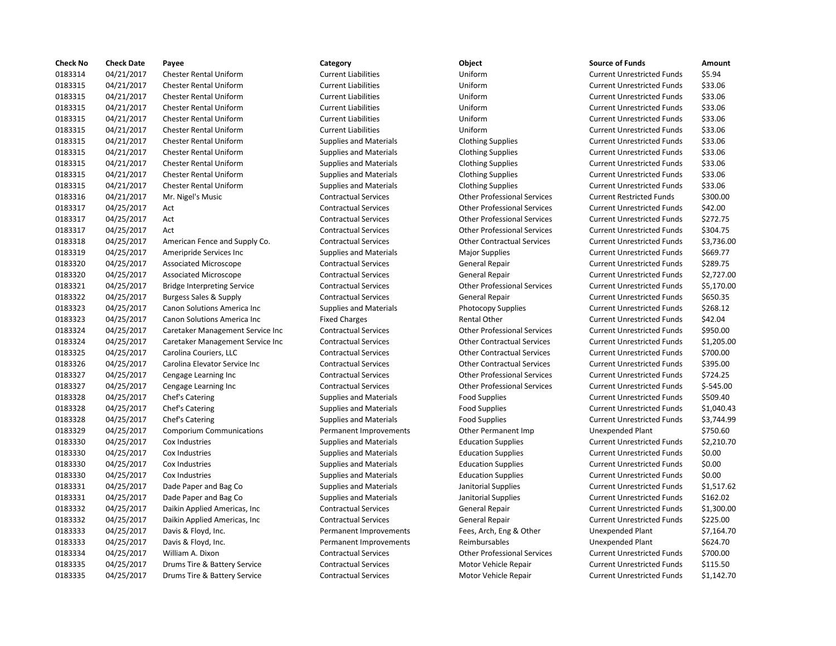| <b>Check No</b> | <b>Check Date</b> | Payee                              | Category                      | Object                             | <b>Source of Funds</b>            | Amount     |
|-----------------|-------------------|------------------------------------|-------------------------------|------------------------------------|-----------------------------------|------------|
| 0183314         | 04/21/2017        | <b>Chester Rental Uniform</b>      | <b>Current Liabilities</b>    | Uniform                            | <b>Current Unrestricted Funds</b> | \$5.94     |
| 0183315         | 04/21/2017        | <b>Chester Rental Uniform</b>      | <b>Current Liabilities</b>    | Uniform                            | <b>Current Unrestricted Funds</b> | \$33.06    |
| 0183315         | 04/21/2017        | <b>Chester Rental Uniform</b>      | <b>Current Liabilities</b>    | Uniform                            | <b>Current Unrestricted Funds</b> | \$33.06    |
| 0183315         | 04/21/2017        | <b>Chester Rental Uniform</b>      | <b>Current Liabilities</b>    | Uniform                            | <b>Current Unrestricted Funds</b> | \$33.06    |
| 0183315         | 04/21/2017        | <b>Chester Rental Uniform</b>      | <b>Current Liabilities</b>    | Uniform                            | <b>Current Unrestricted Funds</b> | \$33.06    |
| 0183315         | 04/21/2017        | <b>Chester Rental Uniform</b>      | <b>Current Liabilities</b>    | Uniform                            | <b>Current Unrestricted Funds</b> | \$33.06    |
| 0183315         | 04/21/2017        | <b>Chester Rental Uniform</b>      | <b>Supplies and Materials</b> | <b>Clothing Supplies</b>           | <b>Current Unrestricted Funds</b> | \$33.06    |
| 0183315         | 04/21/2017        | <b>Chester Rental Uniform</b>      | <b>Supplies and Materials</b> | <b>Clothing Supplies</b>           | <b>Current Unrestricted Funds</b> | \$33.06    |
| 0183315         | 04/21/2017        | <b>Chester Rental Uniform</b>      | <b>Supplies and Materials</b> | <b>Clothing Supplies</b>           | <b>Current Unrestricted Funds</b> | \$33.06    |
| 0183315         | 04/21/2017        | <b>Chester Rental Uniform</b>      | <b>Supplies and Materials</b> | <b>Clothing Supplies</b>           | <b>Current Unrestricted Funds</b> | \$33.06    |
| 0183315         | 04/21/2017        | <b>Chester Rental Uniform</b>      | <b>Supplies and Materials</b> | <b>Clothing Supplies</b>           | <b>Current Unrestricted Funds</b> | \$33.06    |
| 0183316         | 04/21/2017        | Mr. Nigel's Music                  | <b>Contractual Services</b>   | <b>Other Professional Services</b> | <b>Current Restricted Funds</b>   | \$300.00   |
| 0183317         | 04/25/2017        | Act                                | <b>Contractual Services</b>   | <b>Other Professional Services</b> | <b>Current Unrestricted Funds</b> | \$42.00    |
| 0183317         | 04/25/2017        | Act                                | <b>Contractual Services</b>   | <b>Other Professional Services</b> | <b>Current Unrestricted Funds</b> | \$272.75   |
| 0183317         | 04/25/2017        | Act                                | <b>Contractual Services</b>   | <b>Other Professional Services</b> | <b>Current Unrestricted Funds</b> | \$304.75   |
| 0183318         | 04/25/2017        | American Fence and Supply Co.      | <b>Contractual Services</b>   | <b>Other Contractual Services</b>  | <b>Current Unrestricted Funds</b> | \$3,736.0  |
| 0183319         | 04/25/2017        | Ameripride Services Inc            | <b>Supplies and Materials</b> | <b>Major Supplies</b>              | <b>Current Unrestricted Funds</b> | \$669.77   |
| 0183320         | 04/25/2017        | <b>Associated Microscope</b>       | <b>Contractual Services</b>   | General Repair                     | <b>Current Unrestricted Funds</b> | \$289.75   |
| 0183320         | 04/25/2017        | <b>Associated Microscope</b>       | <b>Contractual Services</b>   | General Repair                     | <b>Current Unrestricted Funds</b> | \$2,727.0  |
| 0183321         | 04/25/2017        | <b>Bridge Interpreting Service</b> | <b>Contractual Services</b>   | <b>Other Professional Services</b> | <b>Current Unrestricted Funds</b> | \$5,170.0  |
| 0183322         | 04/25/2017        | Burgess Sales & Supply             | <b>Contractual Services</b>   | <b>General Repair</b>              | <b>Current Unrestricted Funds</b> | \$650.35   |
| 0183323         | 04/25/2017        | Canon Solutions America Inc        | <b>Supplies and Materials</b> | Photocopy Supplies                 | <b>Current Unrestricted Funds</b> | \$268.12   |
| 0183323         | 04/25/2017        | Canon Solutions America Inc        | <b>Fixed Charges</b>          | <b>Rental Other</b>                | <b>Current Unrestricted Funds</b> | \$42.04    |
| 0183324         | 04/25/2017        | Caretaker Management Service Inc   | <b>Contractual Services</b>   | <b>Other Professional Services</b> | <b>Current Unrestricted Funds</b> | \$950.00   |
| 0183324         | 04/25/2017        | Caretaker Management Service Inc   | <b>Contractual Services</b>   | <b>Other Contractual Services</b>  | <b>Current Unrestricted Funds</b> | \$1,205.0  |
| 0183325         | 04/25/2017        | Carolina Couriers, LLC             | <b>Contractual Services</b>   | <b>Other Contractual Services</b>  | <b>Current Unrestricted Funds</b> | \$700.00   |
| 0183326         | 04/25/2017        | Carolina Elevator Service Inc      | <b>Contractual Services</b>   | <b>Other Contractual Services</b>  | <b>Current Unrestricted Funds</b> | \$395.00   |
| 0183327         | 04/25/2017        | Cengage Learning Inc               | <b>Contractual Services</b>   | <b>Other Professional Services</b> | <b>Current Unrestricted Funds</b> | \$724.25   |
| 0183327         | 04/25/2017        | Cengage Learning Inc               | <b>Contractual Services</b>   | <b>Other Professional Services</b> | <b>Current Unrestricted Funds</b> | $$-545.00$ |
| 0183328         | 04/25/2017        | Chef's Catering                    | <b>Supplies and Materials</b> | <b>Food Supplies</b>               | <b>Current Unrestricted Funds</b> | \$509.40   |
| 0183328         | 04/25/2017        | Chef's Catering                    | <b>Supplies and Materials</b> | <b>Food Supplies</b>               | <b>Current Unrestricted Funds</b> | \$1,040.4  |
| 0183328         | 04/25/2017        | Chef's Catering                    | <b>Supplies and Materials</b> | <b>Food Supplies</b>               | <b>Current Unrestricted Funds</b> | \$3,744.9  |
| 0183329         | 04/25/2017        | <b>Comporium Communications</b>    | Permanent Improvements        | Other Permanent Imp                | Unexpended Plant                  | \$750.60   |
| 0183330         | 04/25/2017        | Cox Industries                     | Supplies and Materials        | <b>Education Supplies</b>          | <b>Current Unrestricted Funds</b> | \$2,210.7  |
| 0183330         | 04/25/2017        | Cox Industries                     | <b>Supplies and Materials</b> | <b>Education Supplies</b>          | <b>Current Unrestricted Funds</b> | \$0.00     |
| 0183330         | 04/25/2017        | Cox Industries                     | <b>Supplies and Materials</b> | <b>Education Supplies</b>          | <b>Current Unrestricted Funds</b> | \$0.00     |
| 0183330         | 04/25/2017        | Cox Industries                     | <b>Supplies and Materials</b> | <b>Education Supplies</b>          | <b>Current Unrestricted Funds</b> | \$0.00     |
| 0183331         | 04/25/2017        | Dade Paper and Bag Co              | <b>Supplies and Materials</b> | Janitorial Supplies                | <b>Current Unrestricted Funds</b> | \$1,517.6  |
| 0183331         | 04/25/2017        | Dade Paper and Bag Co              | <b>Supplies and Materials</b> | Janitorial Supplies                | <b>Current Unrestricted Funds</b> | \$162.02   |
| 0183332         | 04/25/2017        | Daikin Applied Americas, Inc.      | <b>Contractual Services</b>   | General Repair                     | <b>Current Unrestricted Funds</b> | \$1,300.0  |
| 0183332         | 04/25/2017        | Daikin Applied Americas, Inc.      | <b>Contractual Services</b>   | General Repair                     | <b>Current Unrestricted Funds</b> | \$225.00   |
| 0183333         | 04/25/2017        | Davis & Floyd, Inc.                | Permanent Improvements        | Fees, Arch, Eng & Other            | <b>Unexpended Plant</b>           | \$7,164.7  |
| 0183333         | 04/25/2017        | Davis & Floyd, Inc.                | Permanent Improvements        | Reimbursables                      | Unexpended Plant                  | \$624.70   |
| 0183334         | 04/25/2017        | William A. Dixon                   | <b>Contractual Services</b>   | <b>Other Professional Services</b> | <b>Current Unrestricted Funds</b> | \$700.00   |
| 0183335         | 04/25/2017        | Drums Tire & Battery Service       | <b>Contractual Services</b>   | Motor Vehicle Repair               | <b>Current Unrestricted Funds</b> | \$115.50   |
| 0183335         | 04/25/2017        | Drums Tire & Battery Service       | <b>Contractual Services</b>   | Motor Vehicle Repair               | <b>Current Unrestricted Funds</b> | \$1.142.7  |

## 04/21/2017 Chester Rental Uniform Current Liabilities Uniform Current Unrestricted Funds \$5.94 04/21/2017 Chester Rental Uniform Current Liabilities Uniform Current Unrestricted Funds \$33.06 04/21/2017 Chester Rental Uniform Current Liabilities Uniform Current Unrestricted Funds \$33.06 04/21/2017 Chester Rental Uniform Current Liabilities Uniform Current Unrestricted Funds \$33.06 04/21/2017 Chester Rental Uniform Current Liabilities Uniform Current Unrestricted Funds \$33.06 04/21/2017 Chester Rental Uniform Current Liabilities Uniform Current Unrestricted Funds \$33.06 04/21/2017 Chester Rental Uniform Supplies and Materials Clothing Supplies Current Unrestricted Funds \$33.06 04/21/2017 Chester Rental Uniform Supplies and Materials Clothing Supplies Current Unrestricted Funds \$33.06 04/21/2017 Chester Rental Uniform Supplies and Materials Clothing Supplies Current Unrestricted Funds \$33.06 Supplies and Materials **Clothing Supplies** Current Unrestricted Funds \$33.06 04/21/2017 Chester Rental Uniform Supplies and Materials Clothing Supplies Current Unrestricted Funds \$33.06 04/21/2017 Mr. Nigel's Music Contractual Services Other Professional Services Current Restricted Funds \$300.00 04/25/2017 Act Contractual Services Other Professional Services Current Unrestricted Funds \$42.00 04/25/2017 Act Contractual Services Other Professional Services Current Unrestricted Funds \$272.75 04/25/2017 Act Contractual Services Other Professional Services Current Unrestricted Funds \$304.75 04/25/2017 American Fence and Supply Co. Contractual Services Other Contractual Services Current Unrestricted Funds \$3,736.00 Supplies and Materials **Major Supplies 1.13.3319 Current Unrestricted Funds** \$669.77 Contractual Services **Contractual Services** General Repair Current Unrestricted Funds \$289.75 04/25/2017 Associated Microscope Contractual Services General Repair Current Unrestricted Funds \$2,727.00 04/25/2017 Bridge Interpreting Service Contractual Services Other Professional Services Current Unrestricted Funds \$5,170.00 04/25/2017 Burgess Sales & Supply Contractual Services General Repair Current Unrestricted Funds \$650.35 Supplies and Materials **1.25.2017 Canon Supplies** Current Unrestricted Funds 5268.12 Fixed Charges **1233** 242.04 Rental Other Current Unrestricted Funds 542.04 Inc Contractual Services **1883** Other Professional Services Current Unrestricted Funds \$950.00 Inc Contractual Services **1.2017 Contractual Services** Current Unrestricted Funds 51,205.00 04/25/2017 Carolina Couriers, LLC Contractual Services Other Contractual Services Current Unrestricted Funds \$700.00 Contractual Services **Carolina Elevator Contractual Services** Current Unrestricted Funds \$395.00 Contractual Services **Contractual Services** Other Professional Services Current Unrestricted Funds \$724.25 04/25/2017 Cengage Learning Inc Contractual Services Other Professional Services Current Unrestricted Funds \$-545.00 Supplies and Materials **1.25.2017 Containers Englished Supplies** Current Unrestricted Funds 5509.40 04/25/2017 Chef's Catering Supplies and Materials Food Supplies Current Unrestricted Funds \$1,040.43 04/25/2017 Chef's Catering Supplies and Materials Food Supplies Current Unrestricted Funds \$3,744.99 Permanent Improvements **Other Permanent Imp** Unexpended Plant \$750.60 04/25/2017 Cox Industries Supplies and Materials Education Supplies Current Unrestricted Funds \$2,210.70 04/25/2017 Cox Industries Supplies and Materials Education Supplies Current Unrestricted Funds \$0.00 04/25/2017 Cox Industries Supplies and Materials Education Supplies Current Unrestricted Funds \$0.00 04/25/2017 Cox Industries Supplies and Materials Education Supplies Current Unrestricted Funds \$0.00 04/25/2017 Dade Paper and Bag Co Supplies and Materials Janitorial Supplies Current Unrestricted Funds \$1,517.62 04/25/2017 Dade Paper and Bag Co Supplies and Materials Janitorial Supplies Current Unrestricted Funds \$162.02 04/25/2017 Daikin Applied Americas, Inc Contractual Services General Repair Current Unrestricted Funds \$1,300.00 Contractual Services **Contractual Services** General Repair **Current Unrestricted Funds** \$225.00 Permanent Improvements Fees, Arch, Eng & Other Unexpended Plant \$7,164.70 Permanent Improvements **1253** Reimbursables **Reimbursables** Unexpended Plant \$624.70 04/25/2017 William A. Dixon Contractual Services Other Professional Services Current Unrestricted Funds \$700.00 Contractual Services **115.50** Motor Vehicle Repair **Current Unrestricted Funds** \$115.50 04/25/2017 Drums Tire & Battery Service Contractual Services Motor Vehicle Repair Current Unrestricted Funds \$1,142.70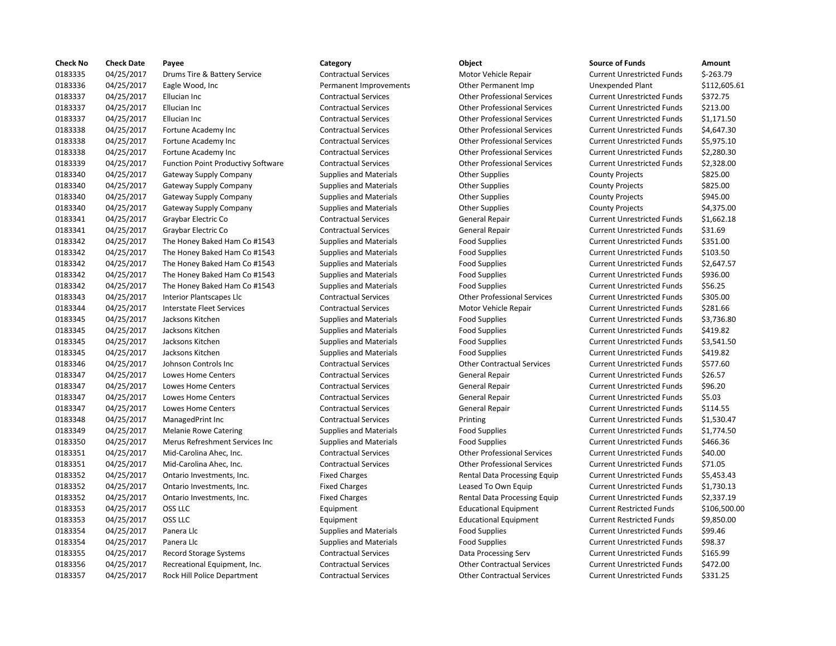| <b>Check No</b> | <b>Check Date</b> | Payee                                     | Category                      | Object                             | <b>Source of Funds</b>            | Amount     |
|-----------------|-------------------|-------------------------------------------|-------------------------------|------------------------------------|-----------------------------------|------------|
| 0183335         | 04/25/2017        | Drums Tire & Battery Service              | <b>Contractual Services</b>   | Motor Vehicle Repair               | <b>Current Unrestricted Funds</b> | \$-263.79  |
| 0183336         | 04/25/2017        | Eagle Wood, Inc.                          | Permanent Improvements        | Other Permanent Imp                | <b>Unexpended Plant</b>           | \$112,605. |
| 0183337         | 04/25/2017        | Ellucian Inc                              | <b>Contractual Services</b>   | <b>Other Professional Services</b> | <b>Current Unrestricted Funds</b> | \$372.75   |
| 0183337         | 04/25/2017        | Ellucian Inc                              | <b>Contractual Services</b>   | <b>Other Professional Services</b> | <b>Current Unrestricted Funds</b> | \$213.00   |
| 0183337         | 04/25/2017        | Ellucian Inc                              | <b>Contractual Services</b>   | <b>Other Professional Services</b> | <b>Current Unrestricted Funds</b> | \$1,171.50 |
| 0183338         | 04/25/2017        | Fortune Academy Inc                       | <b>Contractual Services</b>   | <b>Other Professional Services</b> | <b>Current Unrestricted Funds</b> | \$4,647.30 |
| 0183338         | 04/25/2017        | Fortune Academy Inc                       | <b>Contractual Services</b>   | <b>Other Professional Services</b> | <b>Current Unrestricted Funds</b> | \$5,975.10 |
| 0183338         | 04/25/2017        | Fortune Academy Inc                       | <b>Contractual Services</b>   | <b>Other Professional Services</b> | <b>Current Unrestricted Funds</b> | \$2,280.30 |
| 0183339         | 04/25/2017        | <b>Function Point Productivy Software</b> | <b>Contractual Services</b>   | <b>Other Professional Services</b> | <b>Current Unrestricted Funds</b> | \$2,328.00 |
| 0183340         | 04/25/2017        | Gateway Supply Company                    | <b>Supplies and Materials</b> | <b>Other Supplies</b>              | <b>County Projects</b>            | \$825.00   |
| 0183340         | 04/25/2017        | Gateway Supply Company                    | <b>Supplies and Materials</b> | <b>Other Supplies</b>              | <b>County Projects</b>            | \$825.00   |
| 0183340         | 04/25/2017        | <b>Gateway Supply Company</b>             | <b>Supplies and Materials</b> | <b>Other Supplies</b>              | <b>County Projects</b>            | \$945.00   |
| 0183340         | 04/25/2017        | Gateway Supply Company                    | <b>Supplies and Materials</b> | <b>Other Supplies</b>              | <b>County Projects</b>            | \$4,375.00 |
| 0183341         | 04/25/2017        | Graybar Electric Co                       | <b>Contractual Services</b>   | General Repair                     | <b>Current Unrestricted Funds</b> | \$1,662.18 |
| 0183341         | 04/25/2017        | Graybar Electric Co                       | <b>Contractual Services</b>   | General Repair                     | <b>Current Unrestricted Funds</b> | \$31.69    |
| 0183342         | 04/25/2017        | The Honey Baked Ham Co #1543              | Supplies and Materials        | <b>Food Supplies</b>               | <b>Current Unrestricted Funds</b> | \$351.00   |
| 0183342         | 04/25/2017        | The Honey Baked Ham Co #1543              | Supplies and Materials        | Food Supplies                      | <b>Current Unrestricted Funds</b> | \$103.50   |
| 0183342         | 04/25/2017        | The Honey Baked Ham Co #1543              | <b>Supplies and Materials</b> | <b>Food Supplies</b>               | <b>Current Unrestricted Funds</b> | \$2,647.57 |
| 0183342         | 04/25/2017        | The Honey Baked Ham Co #1543              | <b>Supplies and Materials</b> | <b>Food Supplies</b>               | <b>Current Unrestricted Funds</b> | \$936.00   |
| 0183342         | 04/25/2017        | The Honey Baked Ham Co #1543              | <b>Supplies and Materials</b> | <b>Food Supplies</b>               | <b>Current Unrestricted Funds</b> | \$56.25    |
| 0183343         | 04/25/2017        | Interior Plantscapes Llc                  | <b>Contractual Services</b>   | <b>Other Professional Services</b> | <b>Current Unrestricted Funds</b> | \$305.00   |
| 0183344         | 04/25/2017        | Interstate Fleet Services                 | <b>Contractual Services</b>   | Motor Vehicle Repair               | <b>Current Unrestricted Funds</b> | \$281.66   |
| 0183345         | 04/25/2017        | Jacksons Kitchen                          | <b>Supplies and Materials</b> | <b>Food Supplies</b>               | <b>Current Unrestricted Funds</b> | \$3,736.80 |
| 0183345         | 04/25/2017        | Jacksons Kitchen                          | Supplies and Materials        | <b>Food Supplies</b>               | <b>Current Unrestricted Funds</b> | \$419.82   |
| 0183345         | 04/25/2017        | Jacksons Kitchen                          | <b>Supplies and Materials</b> | <b>Food Supplies</b>               | <b>Current Unrestricted Funds</b> | \$3,541.50 |
| 0183345         | 04/25/2017        | Jacksons Kitchen                          | <b>Supplies and Materials</b> | <b>Food Supplies</b>               | <b>Current Unrestricted Funds</b> | \$419.82   |
| 0183346         | 04/25/2017        | Johnson Controls Inc                      | <b>Contractual Services</b>   | <b>Other Contractual Services</b>  | <b>Current Unrestricted Funds</b> | \$577.60   |
| 0183347         | 04/25/2017        | Lowes Home Centers                        | <b>Contractual Services</b>   | General Repair                     | <b>Current Unrestricted Funds</b> | \$26.57    |
| 0183347         | 04/25/2017        | <b>Lowes Home Centers</b>                 | <b>Contractual Services</b>   | General Repair                     | <b>Current Unrestricted Funds</b> | \$96.20    |
| 0183347         | 04/25/2017        | Lowes Home Centers                        | <b>Contractual Services</b>   | General Repair                     | <b>Current Unrestricted Funds</b> | \$5.03     |
| 0183347         | 04/25/2017        | Lowes Home Centers                        | <b>Contractual Services</b>   | General Repair                     | <b>Current Unrestricted Funds</b> | \$114.55   |
| 0183348         | 04/25/2017        | ManagedPrint Inc                          | <b>Contractual Services</b>   | Printing                           | <b>Current Unrestricted Funds</b> | \$1,530.47 |
| 0183349         | 04/25/2017        | <b>Melanie Rowe Catering</b>              | <b>Supplies and Materials</b> | <b>Food Supplies</b>               | <b>Current Unrestricted Funds</b> | \$1,774.50 |
| 0183350         | 04/25/2017        | Merus Refreshment Services Inc            | Supplies and Materials        | <b>Food Supplies</b>               | <b>Current Unrestricted Funds</b> | \$466.36   |
| 0183351         | 04/25/2017        | Mid-Carolina Ahec, Inc.                   | <b>Contractual Services</b>   | <b>Other Professional Services</b> | <b>Current Unrestricted Funds</b> | \$40.00    |
| 0183351         | 04/25/2017        | Mid-Carolina Ahec, Inc.                   | <b>Contractual Services</b>   | <b>Other Professional Services</b> | <b>Current Unrestricted Funds</b> | \$71.05    |
| 0183352         | 04/25/2017        | Ontario Investments, Inc.                 | <b>Fixed Charges</b>          | Rental Data Processing Equip       | <b>Current Unrestricted Funds</b> | \$5,453.43 |
| 0183352         | 04/25/2017        | Ontario Investments, Inc.                 | <b>Fixed Charges</b>          | Leased To Own Equip                | <b>Current Unrestricted Funds</b> | \$1,730.13 |
| 0183352         | 04/25/2017        | Ontario Investments, Inc.                 | <b>Fixed Charges</b>          | Rental Data Processing Equip       | <b>Current Unrestricted Funds</b> | \$2,337.19 |
| 0183353         | 04/25/2017        | OSS LLC                                   | Equipment                     | <b>Educational Equipment</b>       | <b>Current Restricted Funds</b>   | \$106,500. |
| 0183353         | 04/25/2017        | OSS LLC                                   | Equipment                     | <b>Educational Equipment</b>       | <b>Current Restricted Funds</b>   | \$9,850.00 |
| 0183354         | 04/25/2017        | Panera Llc                                | <b>Supplies and Materials</b> | <b>Food Supplies</b>               | <b>Current Unrestricted Funds</b> | \$99.46    |
| 0183354         | 04/25/2017        | Panera Llc                                | <b>Supplies and Materials</b> | <b>Food Supplies</b>               | <b>Current Unrestricted Funds</b> | \$98.37    |
| 0183355         | 04/25/2017        | Record Storage Systems                    | <b>Contractual Services</b>   | Data Processing Serv               | <b>Current Unrestricted Funds</b> | \$165.99   |
| 0183356         | 04/25/2017        | Recreational Equipment, Inc.              | <b>Contractual Services</b>   | <b>Other Contractual Services</b>  | <b>Current Unrestricted Funds</b> | \$472.00   |
| 0183357         | 04/25/2017        | Rock Hill Police Department               | <b>Contractual Services</b>   | <b>Other Contractual Services</b>  | <b>Current Unrestricted Funds</b> | \$331.25   |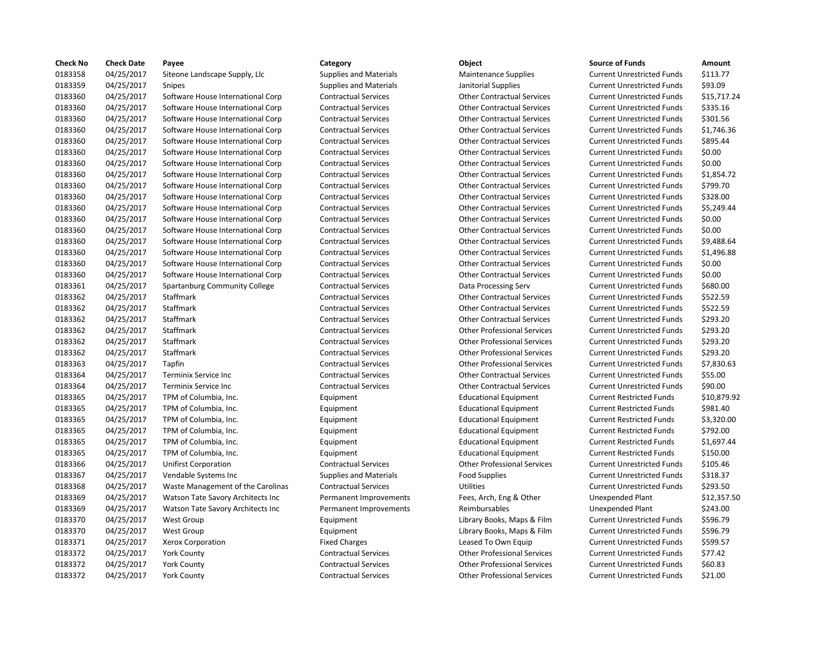| <b>Check No</b> | <b>Check Date</b> | Payee                             | Category                      | Object                             | <b>Source of Funds</b>            | Amount    |
|-----------------|-------------------|-----------------------------------|-------------------------------|------------------------------------|-----------------------------------|-----------|
| 0183358         | 04/25/2017        | Siteone Landscape Supply, Llc     | <b>Supplies and Materials</b> | Maintenance Supplies               | <b>Current Unrestricted Funds</b> | \$113.77  |
| 0183359         | 04/25/2017        | <b>Snipes</b>                     | <b>Supplies and Materials</b> | Janitorial Supplies                | <b>Current Unrestricted Funds</b> | \$93.09   |
| 0183360         | 04/25/2017        | Software House International Corp | <b>Contractual Services</b>   | <b>Other Contractual Services</b>  | <b>Current Unrestricted Funds</b> | \$15,717  |
| 0183360         | 04/25/2017        | Software House International Corp | <b>Contractual Services</b>   | <b>Other Contractual Services</b>  | <b>Current Unrestricted Funds</b> | \$335.16  |
| 0183360         | 04/25/2017        | Software House International Corp | <b>Contractual Services</b>   | <b>Other Contractual Services</b>  | <b>Current Unrestricted Funds</b> | \$301.56  |
| 0183360         | 04/25/2017        | Software House International Corp | <b>Contractual Services</b>   | <b>Other Contractual Services</b>  | <b>Current Unrestricted Funds</b> | \$1,746.3 |
| 0183360         | 04/25/2017        | Software House International Corp | <b>Contractual Services</b>   | <b>Other Contractual Services</b>  | <b>Current Unrestricted Funds</b> | \$895.44  |
| 0183360         | 04/25/2017        | Software House International Corp | <b>Contractual Services</b>   | <b>Other Contractual Services</b>  | <b>Current Unrestricted Funds</b> | \$0.00    |
| 0183360         | 04/25/2017        | Software House International Corp | <b>Contractual Services</b>   | <b>Other Contractual Services</b>  | <b>Current Unrestricted Funds</b> | \$0.00    |
| 0183360         | 04/25/2017        | Software House International Corp | <b>Contractual Services</b>   | <b>Other Contractual Services</b>  | <b>Current Unrestricted Funds</b> | \$1,854.7 |
| 0183360         | 04/25/2017        | Software House International Corp | <b>Contractual Services</b>   | <b>Other Contractual Services</b>  | <b>Current Unrestricted Funds</b> | \$799.70  |
| 0183360         | 04/25/2017        | Software House International Corp | <b>Contractual Services</b>   | <b>Other Contractual Services</b>  | <b>Current Unrestricted Funds</b> | \$328.00  |
| 0183360         | 04/25/2017        | Software House International Corp | <b>Contractual Services</b>   | <b>Other Contractual Services</b>  | <b>Current Unrestricted Funds</b> | \$5,249.4 |
| 0183360         | 04/25/2017        | Software House International Corp | <b>Contractual Services</b>   | <b>Other Contractual Services</b>  | <b>Current Unrestricted Funds</b> | \$0.00    |
| 0183360         | 04/25/2017        | Software House International Corp | <b>Contractual Services</b>   | <b>Other Contractual Services</b>  | <b>Current Unrestricted Funds</b> | \$0.00    |
| 0183360         | 04/25/2017        | Software House International Corp | <b>Contractual Services</b>   | <b>Other Contractual Services</b>  | <b>Current Unrestricted Funds</b> | \$9,488.6 |
| 0183360         | 04/25/2017        | Software House International Corp | <b>Contractual Services</b>   | <b>Other Contractual Services</b>  | <b>Current Unrestricted Funds</b> | \$1,496.8 |
| 0183360         | 04/25/2017        | Software House International Corp | <b>Contractual Services</b>   | <b>Other Contractual Services</b>  | <b>Current Unrestricted Funds</b> | \$0.00    |
| 0183360         | 04/25/2017        | Software House International Corp | <b>Contractual Services</b>   | <b>Other Contractual Services</b>  | <b>Current Unrestricted Funds</b> | \$0.00    |
| 0183361         | 04/25/2017        | Spartanburg Community College     | <b>Contractual Services</b>   | Data Processing Serv               | <b>Current Unrestricted Funds</b> | \$680.00  |
| 0183362         | 04/25/2017        | Staffmark                         | <b>Contractual Services</b>   | <b>Other Contractual Services</b>  | <b>Current Unrestricted Funds</b> | \$522.59  |
| 0183362         | 04/25/2017        | Staffmark                         | <b>Contractual Services</b>   | <b>Other Contractual Services</b>  | <b>Current Unrestricted Funds</b> | \$522.59  |
| 0183362         | 04/25/2017        | Staffmark                         | <b>Contractual Services</b>   | <b>Other Contractual Services</b>  | <b>Current Unrestricted Funds</b> | \$293.20  |
| 0183362         | 04/25/2017        | Staffmark                         | <b>Contractual Services</b>   | <b>Other Professional Services</b> | <b>Current Unrestricted Funds</b> | \$293.20  |
| 0183362         | 04/25/2017        | <b>Staffmark</b>                  | <b>Contractual Services</b>   | <b>Other Professional Services</b> | <b>Current Unrestricted Funds</b> | \$293.20  |
| 0183362         | 04/25/2017        | Staffmark                         | <b>Contractual Services</b>   | <b>Other Professional Services</b> | <b>Current Unrestricted Funds</b> | \$293.20  |
| 0183363         | 04/25/2017        | Tapfin                            | <b>Contractual Services</b>   | <b>Other Professional Services</b> | <b>Current Unrestricted Funds</b> | \$7,830.6 |
| 0183364         | 04/25/2017        | Terminix Service Inc              | <b>Contractual Services</b>   | <b>Other Contractual Services</b>  | <b>Current Unrestricted Funds</b> | \$55.00   |
| 0183364         | 04/25/2017        | Terminix Service Inc              | <b>Contractual Services</b>   | <b>Other Contractual Services</b>  | <b>Current Unrestricted Funds</b> | \$90.00   |
| 0183365         | 04/25/2017        | TPM of Columbia, Inc.             | Equipment                     | <b>Educational Equipment</b>       | <b>Current Restricted Funds</b>   | \$10,879  |
| 0183365         | 04/25/2017        | TPM of Columbia, Inc.             | Equipment                     | <b>Educational Equipment</b>       | <b>Current Restricted Funds</b>   | \$981.40  |
| 0183365         | 04/25/2017        | TPM of Columbia, Inc.             | Equipment                     | <b>Educational Equipment</b>       | <b>Current Restricted Funds</b>   | \$3,320.0 |
| 0183365         | 04/25/2017        | TPM of Columbia, Inc.             | Equipment                     | <b>Educational Equipment</b>       | <b>Current Restricted Funds</b>   | \$792.00  |
| 0183365         | 04/25/2017        | TPM of Columbia, Inc.             | Equipment                     | <b>Educational Equipment</b>       | <b>Current Restricted Funds</b>   | \$1,697.4 |
| 0183365         | 04/25/2017        | TPM of Columbia, Inc.             | Equipment                     | <b>Educational Equipment</b>       | <b>Current Restricted Funds</b>   | \$150.00  |
| 0183366         | 04/25/2017        | <b>Unifirst Corporation</b>       | <b>Contractual Services</b>   | <b>Other Professional Services</b> | <b>Current Unrestricted Funds</b> | \$105.46  |
| 0183367         | 04/25/2017        | Vendable Systems Inc              | <b>Supplies and Materials</b> | <b>Food Supplies</b>               | <b>Current Unrestricted Funds</b> | \$318.37  |
| 0183368         | 04/25/2017        | Waste Management of the Carolinas | <b>Contractual Services</b>   | <b>Utilities</b>                   | <b>Current Unrestricted Funds</b> | \$293.50  |
| 0183369         | 04/25/2017        | Watson Tate Savory Architects Inc | Permanent Improvements        | Fees, Arch, Eng & Other            | <b>Unexpended Plant</b>           | \$12,357  |
| 0183369         | 04/25/2017        | Watson Tate Savory Architects Inc | Permanent Improvements        | Reimbursables                      | Unexpended Plant                  | \$243.00  |
| 0183370         | 04/25/2017        | <b>West Group</b>                 | Equipment                     | Library Books, Maps & Film         | <b>Current Unrestricted Funds</b> | \$596.79  |
| 0183370         | 04/25/2017        | <b>West Group</b>                 | Equipment                     | Library Books, Maps & Film         | <b>Current Unrestricted Funds</b> | \$596.79  |
| 0183371         | 04/25/2017        | Xerox Corporation                 | <b>Fixed Charges</b>          | Leased To Own Equip                | <b>Current Unrestricted Funds</b> | \$599.57  |
| 0183372         | 04/25/2017        | <b>York County</b>                | <b>Contractual Services</b>   | <b>Other Professional Services</b> | <b>Current Unrestricted Funds</b> | \$77.42   |
| 0183372         | 04/25/2017        | <b>York County</b>                | <b>Contractual Services</b>   | <b>Other Professional Services</b> | <b>Current Unrestricted Funds</b> | \$60.83   |
| 0183372         | 04/25/2017        | <b>York County</b>                | <b>Contractual Services</b>   | <b>Other Professional Services</b> | <b>Current Unrestricted Funds</b> | \$21.00   |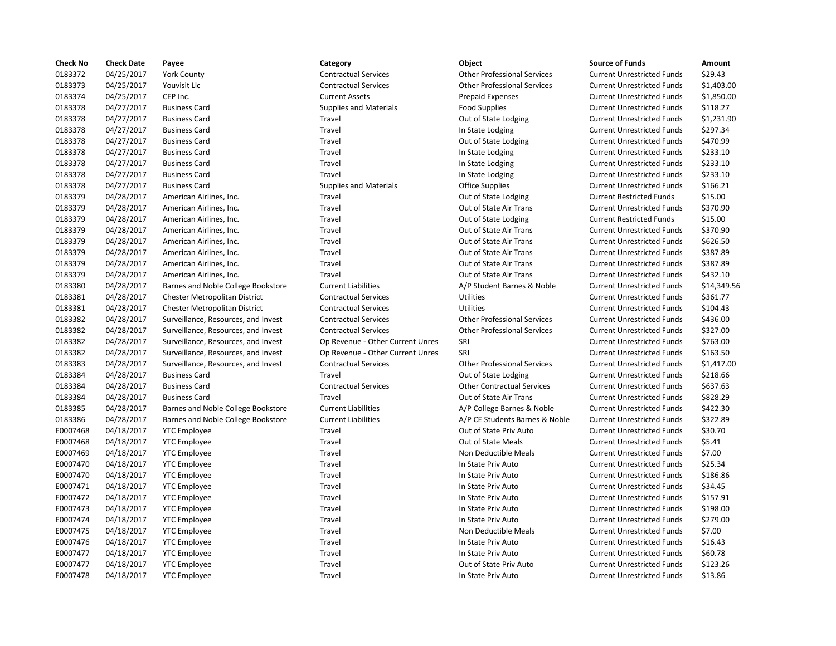| <b>Check No</b> | <b>Check Date</b> | Payee                               | Category                         | Object                             | <b>Source of Funds</b>            | Amount    |
|-----------------|-------------------|-------------------------------------|----------------------------------|------------------------------------|-----------------------------------|-----------|
| 0183372         | 04/25/2017        | <b>York County</b>                  | <b>Contractual Services</b>      | <b>Other Professional Services</b> | <b>Current Unrestricted Funds</b> | \$29.43   |
| 0183373         | 04/25/2017        | Youvisit Llc                        | <b>Contractual Services</b>      | <b>Other Professional Services</b> | <b>Current Unrestricted Funds</b> | \$1,403.0 |
| 0183374         | 04/25/2017        | CEP Inc.                            | <b>Current Assets</b>            | <b>Prepaid Expenses</b>            | <b>Current Unrestricted Funds</b> | \$1,850.0 |
| 0183378         | 04/27/2017        | <b>Business Card</b>                | <b>Supplies and Materials</b>    | <b>Food Supplies</b>               | <b>Current Unrestricted Funds</b> | \$118.27  |
| 0183378         | 04/27/2017        | <b>Business Card</b>                | Travel                           | Out of State Lodging               | <b>Current Unrestricted Funds</b> | \$1,231.9 |
| 0183378         | 04/27/2017        | <b>Business Card</b>                | Travel                           | In State Lodging                   | <b>Current Unrestricted Funds</b> | \$297.34  |
| 0183378         | 04/27/2017        | <b>Business Card</b>                | Travel                           | Out of State Lodging               | <b>Current Unrestricted Funds</b> | \$470.99  |
| 0183378         | 04/27/2017        | <b>Business Card</b>                | Travel                           | In State Lodging                   | <b>Current Unrestricted Funds</b> | \$233.10  |
| 0183378         | 04/27/2017        | <b>Business Card</b>                | Travel                           | In State Lodging                   | <b>Current Unrestricted Funds</b> | \$233.10  |
| 0183378         | 04/27/2017        | <b>Business Card</b>                | Travel                           | In State Lodging                   | <b>Current Unrestricted Funds</b> | \$233.10  |
| 0183378         | 04/27/2017        | <b>Business Card</b>                | <b>Supplies and Materials</b>    | <b>Office Supplies</b>             | <b>Current Unrestricted Funds</b> | \$166.21  |
| 0183379         | 04/28/2017        | American Airlines, Inc.             | Travel                           | Out of State Lodging               | <b>Current Restricted Funds</b>   | \$15.00   |
| 0183379         | 04/28/2017        | American Airlines, Inc.             | Travel                           | Out of State Air Trans             | <b>Current Unrestricted Funds</b> | \$370.90  |
| 0183379         | 04/28/2017        | American Airlines, Inc.             | Travel                           | Out of State Lodging               | <b>Current Restricted Funds</b>   | \$15.00   |
| 0183379         | 04/28/2017        | American Airlines, Inc.             | Travel                           | Out of State Air Trans             | <b>Current Unrestricted Funds</b> | \$370.90  |
| 0183379         | 04/28/2017        | American Airlines, Inc.             | Travel                           | Out of State Air Trans             | <b>Current Unrestricted Funds</b> | \$626.50  |
| 0183379         | 04/28/2017        | American Airlines, Inc.             | Travel                           | Out of State Air Trans             | <b>Current Unrestricted Funds</b> | \$387.89  |
| 0183379         | 04/28/2017        | American Airlines, Inc.             | Travel                           | Out of State Air Trans             | <b>Current Unrestricted Funds</b> | \$387.89  |
| 0183379         | 04/28/2017        | American Airlines, Inc.             | Travel                           | Out of State Air Trans             | <b>Current Unrestricted Funds</b> | \$432.10  |
| 0183380         | 04/28/2017        | Barnes and Noble College Bookstore  | <b>Current Liabilities</b>       | A/P Student Barnes & Noble         | <b>Current Unrestricted Funds</b> | \$14,349  |
| 0183381         | 04/28/2017        | Chester Metropolitan District       | <b>Contractual Services</b>      | <b>Utilities</b>                   | <b>Current Unrestricted Funds</b> | \$361.77  |
| 0183381         | 04/28/2017        | Chester Metropolitan District       | <b>Contractual Services</b>      | Utilities                          | <b>Current Unrestricted Funds</b> | \$104.43  |
| 0183382         | 04/28/2017        | Surveillance, Resources, and Invest | <b>Contractual Services</b>      | <b>Other Professional Services</b> | <b>Current Unrestricted Funds</b> | \$436.00  |
| 0183382         | 04/28/2017        | Surveillance, Resources, and Invest | <b>Contractual Services</b>      | <b>Other Professional Services</b> | <b>Current Unrestricted Funds</b> | \$327.00  |
| 0183382         | 04/28/2017        | Surveillance, Resources, and Invest | Op Revenue - Other Current Unres | SRI                                | <b>Current Unrestricted Funds</b> | \$763.00  |
| 0183382         | 04/28/2017        | Surveillance, Resources, and Invest | Op Revenue - Other Current Unres | SRI                                | <b>Current Unrestricted Funds</b> | \$163.50  |
| 0183383         | 04/28/2017        | Surveillance, Resources, and Invest | <b>Contractual Services</b>      | <b>Other Professional Services</b> | <b>Current Unrestricted Funds</b> | \$1,417.0 |
| 0183384         | 04/28/2017        | <b>Business Card</b>                | Travel                           | Out of State Lodging               | <b>Current Unrestricted Funds</b> | \$218.66  |
| 0183384         | 04/28/2017        | <b>Business Card</b>                | <b>Contractual Services</b>      | <b>Other Contractual Services</b>  | <b>Current Unrestricted Funds</b> | \$637.63  |
| 0183384         | 04/28/2017        | <b>Business Card</b>                | Travel                           | Out of State Air Trans             | <b>Current Unrestricted Funds</b> | \$828.29  |
| 0183385         | 04/28/2017        | Barnes and Noble College Bookstore  | <b>Current Liabilities</b>       | A/P College Barnes & Noble         | <b>Current Unrestricted Funds</b> | \$422.30  |
| 0183386         | 04/28/2017        | Barnes and Noble College Bookstore  | <b>Current Liabilities</b>       | A/P CE Students Barnes & Noble     | <b>Current Unrestricted Funds</b> | \$322.89  |
| E0007468        | 04/18/2017        | <b>YTC Employee</b>                 | Travel                           | Out of State Priv Auto             | <b>Current Unrestricted Funds</b> | \$30.70   |
| E0007468        | 04/18/2017        | <b>YTC Employee</b>                 | Travel                           | Out of State Meals                 | <b>Current Unrestricted Funds</b> | \$5.41    |
| E0007469        | 04/18/2017        | <b>YTC Employee</b>                 | Travel                           | Non Deductible Meals               | <b>Current Unrestricted Funds</b> | \$7.00    |
| E0007470        | 04/18/2017        | <b>YTC Employee</b>                 | Travel                           | In State Priv Auto                 | <b>Current Unrestricted Funds</b> | \$25.34   |
| E0007470        | 04/18/2017        | <b>YTC Employee</b>                 | Travel                           | In State Priv Auto                 | <b>Current Unrestricted Funds</b> | \$186.86  |
| E0007471        | 04/18/2017        | <b>YTC Employee</b>                 | Travel                           | In State Priv Auto                 | <b>Current Unrestricted Funds</b> | \$34.45   |
| E0007472        | 04/18/2017        | <b>YTC Employee</b>                 | Travel                           | In State Priv Auto                 | <b>Current Unrestricted Funds</b> | \$157.91  |
| E0007473        | 04/18/2017        | <b>YTC Employee</b>                 | Travel                           | In State Priv Auto                 | <b>Current Unrestricted Funds</b> | \$198.00  |
| E0007474        | 04/18/2017        | <b>YTC Employee</b>                 | Travel                           | In State Priv Auto                 | <b>Current Unrestricted Funds</b> | \$279.00  |
| E0007475        | 04/18/2017        | <b>YTC Employee</b>                 | Travel                           | Non Deductible Meals               | <b>Current Unrestricted Funds</b> | \$7.00    |
| E0007476        | 04/18/2017        | <b>YTC Employee</b>                 | Travel                           | In State Priv Auto                 | <b>Current Unrestricted Funds</b> | \$16.43   |
| E0007477        | 04/18/2017        | <b>YTC Employee</b>                 | Travel                           | In State Priv Auto                 | <b>Current Unrestricted Funds</b> | \$60.78   |
| E0007477        | 04/18/2017        | <b>YTC Employee</b>                 | Travel                           | Out of State Priv Auto             | <b>Current Unrestricted Funds</b> | \$123.26  |
| E0007478        | 04/18/2017        | <b>YTC Employee</b>                 | Travel                           | In State Priv Auto                 | <b>Current Unrestricted Funds</b> | \$13.86   |

# 0183372 04/25/2017 York County Contractual Services Other Professional Services Current Unrestricted Funds \$29.43 0183373 04/25/2017 Youvisit Llc Contractual Services Other Professional Services Current Unrestricted Funds \$1,403.00 0183374 04/25/2017 CEP Inc. Current Assets Prepaid Expenses Current Unrestricted Funds \$1,850.00 0183378 04/27/2017 Business Card Supplies and Materials Food Supplies Current Unrestricted Funds \$118.27 Travel **1.231.90** Out of State Lodging Current Unrestricted Funds \$1,231.90 Travel **1218 1218 In State Lodging Current Unrestricted Funds** \$297.34 Travel **1833** Out of State Lodging Current Unrestricted Funds \$470.99 0183378 04/27/2017 Business Card Travel In State Lodging Current Unrestricted Funds \$233.10 Travel **123319** In State Lodging Current Unrestricted Funds \$233.10 Travel **123319** In State Lodging Current Unrestricted Funds \$233.10 Supplies and Materials **1928** Office Supplies Current Unrestricted Funds \$166.21 Travel **2020** 2018 Out of State Air Trans Current Unrestricted Funds \$370.90 Travel **2020** 2018 Out of State Air Trans Current Unrestricted Funds \$370.90 Travel **2028** 2018 Out of State Air Trans Current Unrestricted Funds \$626.50 Travel **2018** Out of State Air Trans Current Unrestricted Funds \$387.89 Travel **2018** Out of State Air Trans Current Unrestricted Funds \$387.89 Travel **1833** Out of State Air Trans Current Unrestricted Funds \$432.10 0183380 04/28/2017 Barnes and Noble College Bookstore Current Liabilities A/P Student Barnes & Noble Current Unrestricted Funds \$14,349.56 Ontractual Services **Contractual Services** Utilities Current Unrestricted Funds \$361.77 0183381 04/28/2017 Chester Metropolitan District Contractual Services Utilities Current Unrestricted Funds \$104.43 Invest Contractual Services Contractual Services Other Professional Services Current Unrestricted Funds \$436.00 Invest Contractual Services **Contractual Services** Other Professional Services Current Unrestricted Funds \$327.00 Invest Op Revenue - Other Current Unres SRI Current Unrestricted Funds \$763.00 Invest Op Revenue - Other Current Unres SRI Current Unrestricted Funds \$163.50 0183383 04/28/2017 Surveillance, Resources, and Invest Contractual Services Other Professional Services Current Unrestricted Funds \$1,417.00 Travel **12023** 1218.66 Out of State Lodging Current Unrestricted Funds 5218.66 Contractual Services **Caractual Contractual Services** Current Unrestricted Funds \$637.63 Travel **18381 1847 CULL COUPS CAREGAIRS CONTENTS** Current Unrestricted Funds \$828.29 okstore Current Liabilities College Barnes & Noble Current Unrestricted Funds \$422.30 okstore Current Liabilities **A/P CE Students Barnes & Noble** Current Unrestricted Funds \$322.89 Travel **EXACTE CONTENTS OUT OUT OUT OUT AUTOR** Current Unrestricted Funds \$30.70 Travel **EXA/2018 COMPLOYEE TRAVEL** Out of State Meals Current Unrestricted Funds \$5.41 Travel **EXA/2018 18/2018 UNITED MEAN** On Deductible Meals Current Unrestricted Funds \$7.00 Travel **EXAYOF CONTENTS IN STATE PRIV Auto** Current Unrestricted Funds \$25.34 Travel **EXAYOF ENDICATE:** In State Priv Auto Current Unrestricted Funds \$186.86 E0007471 04/18/2017 YTC Employee Travel In State Priv Auto Current Unrestricted Funds \$34.45 Travel **Education 2007** In State Priv Auto **Current Unrestricted Funds** \$157.91 Example 1998.00 Travel In State Priv Auto Current Unrestricted Funds \$198.00 E00074 Travel Current Unrestricted Funds \$279.00 Travel **EXAYS ENDOX** On Deductible Meals Current Unrestricted Funds \$7.00 Travel **EXAYC ENDICATE:** In State Priv Auto **Current Unrestricted Funds** 516.43 E0007477 04/18/2017 YTC Employee Travel In State Priv Auto Current Unrestricted Funds \$60.78 Travel **EXAYPE CONTENTS OUT OUT OF STATE PRIV Auto** Current Unrestricted Funds \$123.26